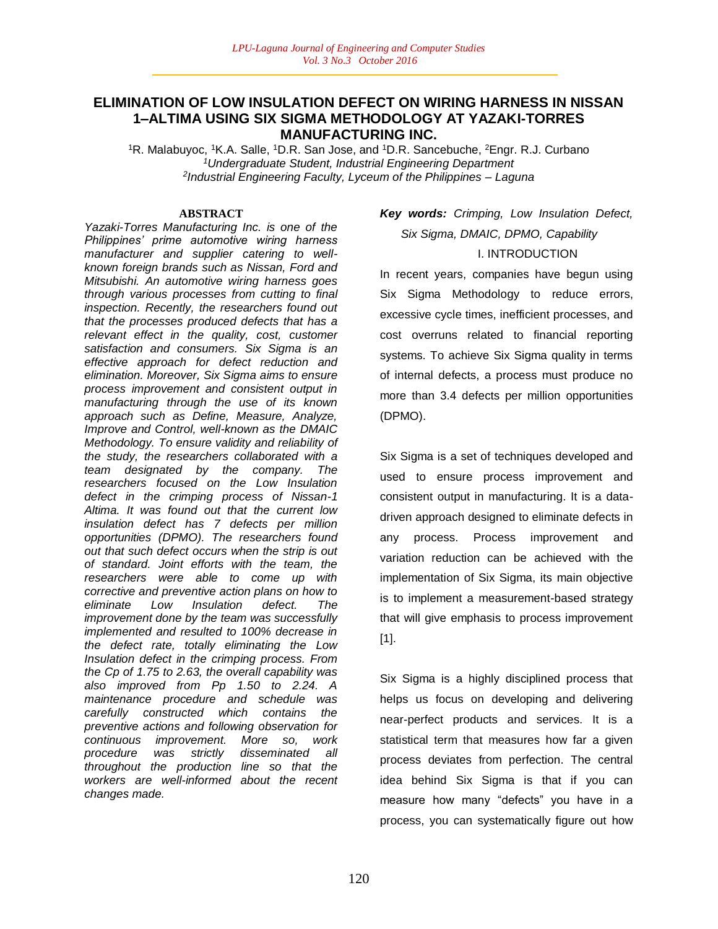# **ELIMINATION OF LOW INSULATION DEFECT ON WIRING HARNESS IN NISSAN 1–ALTIMA USING SIX SIGMA METHODOLOGY AT YAZAKI-TORRES MANUFACTURING INC.**

<sup>1</sup>R. Malabuyoc, <sup>1</sup>K.A. Salle, <sup>1</sup>D.R. San Jose, and <sup>1</sup>D.R. Sancebuche, <sup>2</sup>Engr. R.J. Curbano *<sup>1</sup>Undergraduate Student, Industrial Engineering Department 2 Industrial Engineering Faculty, Lyceum of the Philippines – Laguna*

#### **ABSTRACT**

*Yazaki-Torres Manufacturing Inc. is one of the Philippines' prime automotive wiring harness manufacturer and supplier catering to wellknown foreign brands such as Nissan, Ford and Mitsubishi. An automotive wiring harness goes through various processes from cutting to final inspection. Recently, the researchers found out that the processes produced defects that has a relevant effect in the quality, cost, customer satisfaction and consumers. Six Sigma is an effective approach for defect reduction and elimination. Moreover, Six Sigma aims to ensure process improvement and consistent output in manufacturing through the use of its known approach such as Define, Measure, Analyze, Improve and Control, well-known as the DMAIC Methodology. To ensure validity and reliability of the study, the researchers collaborated with a team designated by the company. The researchers focused on the Low Insulation defect in the crimping process of Nissan-1 Altima. It was found out that the current low insulation defect has 7 defects per million opportunities (DPMO). The researchers found out that such defect occurs when the strip is out of standard. Joint efforts with the team, the researchers were able to come up with corrective and preventive action plans on how to eliminate Low Insulation defect. The improvement done by the team was successfully implemented and resulted to 100% decrease in the defect rate, totally eliminating the Low Insulation defect in the crimping process. From the Cp of 1.75 to 2.63, the overall capability was also improved from Pp 1.50 to 2.24. A maintenance procedure and schedule was carefully constructed which contains the preventive actions and following observation for continuous improvement. More so, work procedure was strictly disseminated all throughout the production line so that the workers are well-informed about the recent changes made.* 

# *Key words: Crimping, Low Insulation Defect, Six Sigma, DMAIC, DPMO, Capability* I. INTRODUCTION

In recent years, companies have begun using Six Sigma Methodology to reduce errors, excessive cycle times, inefficient processes, and cost overruns related to financial reporting systems. To achieve Six Sigma quality in terms of internal defects, a process must produce no more than 3.4 defects per million opportunities (DPMO).

Six Sigma is a set of techniques developed and used to ensure process improvement and consistent output in manufacturing. It is a datadriven approach designed to eliminate defects in any process. Process improvement and variation reduction can be achieved with the implementation of Six Sigma, its main objective is to implement a measurement-based strategy that will give emphasis to process improvement [1].

Six Sigma is a highly disciplined process that helps us focus on developing and delivering near-perfect products and services. It is a statistical term that measures how far a given process deviates from perfection. The central idea behind Six Sigma is that if you can measure how many "defects" you have in a process, you can systematically figure out how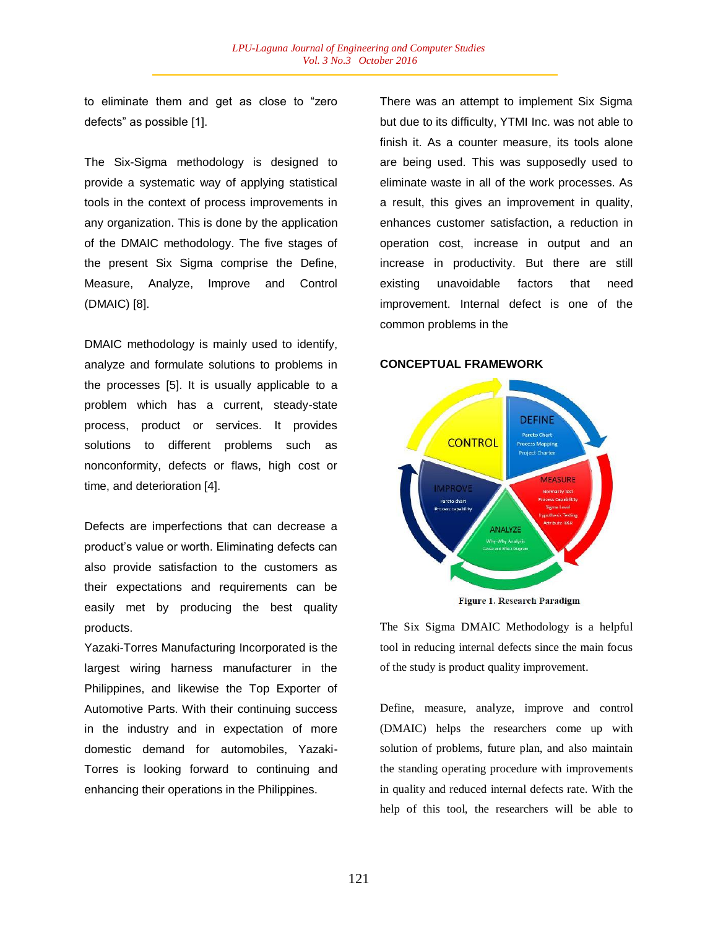to eliminate them and get as close to "zero defects" as possible [1].

The Six-Sigma methodology is designed to provide a systematic way of applying statistical tools in the context of process improvements in any organization. This is done by the application of the DMAIC methodology. The five stages of the present Six Sigma comprise the Define, Measure, Analyze, Improve and Control (DMAIC) [8].

DMAIC methodology is mainly used to identify, analyze and formulate solutions to problems in the processes [5]. It is usually applicable to a problem which has a current, steady-state process, product or services. It provides solutions to different problems such as nonconformity, defects or flaws, high cost or time, and deterioration [4].

Defects are imperfections that can decrease a product's value or worth. Eliminating defects can also provide satisfaction to the customers as their expectations and requirements can be easily met by producing the best quality products.

Yazaki-Torres Manufacturing Incorporated is the largest wiring harness manufacturer in the Philippines, and likewise the Top Exporter of Automotive Parts. With their continuing success in the industry and in expectation of more domestic demand for automobiles, Yazaki-Torres is looking forward to continuing and enhancing their operations in the Philippines.

There was an attempt to implement Six Sigma but due to its difficulty, YTMI Inc. was not able to finish it. As a counter measure, its tools alone are being used. This was supposedly used to eliminate waste in all of the work processes. As a result, this gives an improvement in quality, enhances customer satisfaction, a reduction in operation cost, increase in output and an increase in productivity. But there are still existing unavoidable factors that need improvement. Internal defect is one of the common problems in the

#### **CONCEPTUAL FRAMEWORK**



Figure 1. Research Paradigm

The Six Sigma DMAIC Methodology is a helpful tool in reducing internal defects since the main focus of the study is product quality improvement.

Define, measure, analyze, improve and control (DMAIC) helps the researchers come up with solution of problems, future plan, and also maintain the standing operating procedure with improvements in quality and reduced internal defects rate. With the help of this tool, the researchers will be able to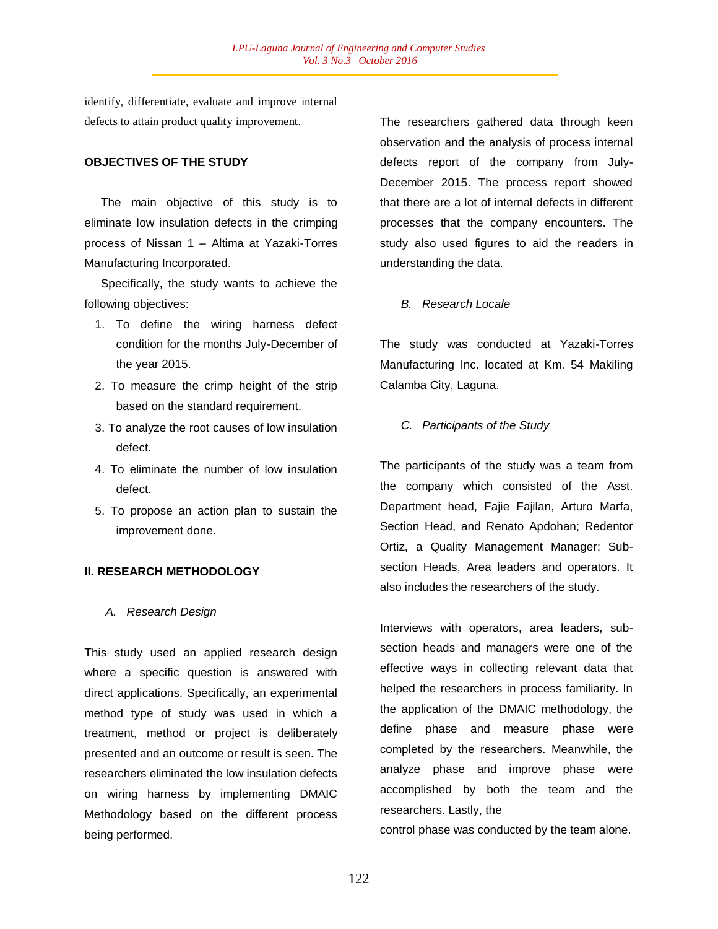identify, differentiate, evaluate and improve internal defects to attain product quality improvement.

## **OBJECTIVES OF THE STUDY**

 The main objective of this study is to eliminate low insulation defects in the crimping process of Nissan 1 – Altima at Yazaki-Torres Manufacturing Incorporated.

 Specifically, the study wants to achieve the following objectives:

- 1. To define the wiring harness defect condition for the months July-December of the year 2015.
- 2. To measure the crimp height of the strip based on the standard requirement.
- 3. To analyze the root causes of low insulation defect.
- 4. To eliminate the number of low insulation defect.
- 5. To propose an action plan to sustain the improvement done.

## **II. RESEARCH METHODOLOGY**

#### *A. Research Design*

This study used an applied research design where a specific question is answered with direct applications. Specifically, an experimental method type of study was used in which a treatment, method or project is deliberately presented and an outcome or result is seen. The researchers eliminated the low insulation defects on wiring harness by implementing DMAIC Methodology based on the different process being performed.

The researchers gathered data through keen observation and the analysis of process internal defects report of the company from July-December 2015. The process report showed that there are a lot of internal defects in different processes that the company encounters. The study also used figures to aid the readers in understanding the data.

*B. Research Locale* 

The study was conducted at Yazaki-Torres Manufacturing Inc. located at Km. 54 Makiling Calamba City, Laguna.

#### *C. Participants of the Study*

The participants of the study was a team from the company which consisted of the Asst. Department head, Fajie Fajilan, Arturo Marfa, Section Head, and Renato Apdohan; Redentor Ortiz, a Quality Management Manager; Subsection Heads, Area leaders and operators. It also includes the researchers of the study.

Interviews with operators, area leaders, subsection heads and managers were one of the effective ways in collecting relevant data that helped the researchers in process familiarity. In the application of the DMAIC methodology, the define phase and measure phase were completed by the researchers. Meanwhile, the analyze phase and improve phase were accomplished by both the team and the researchers. Lastly, the

control phase was conducted by the team alone.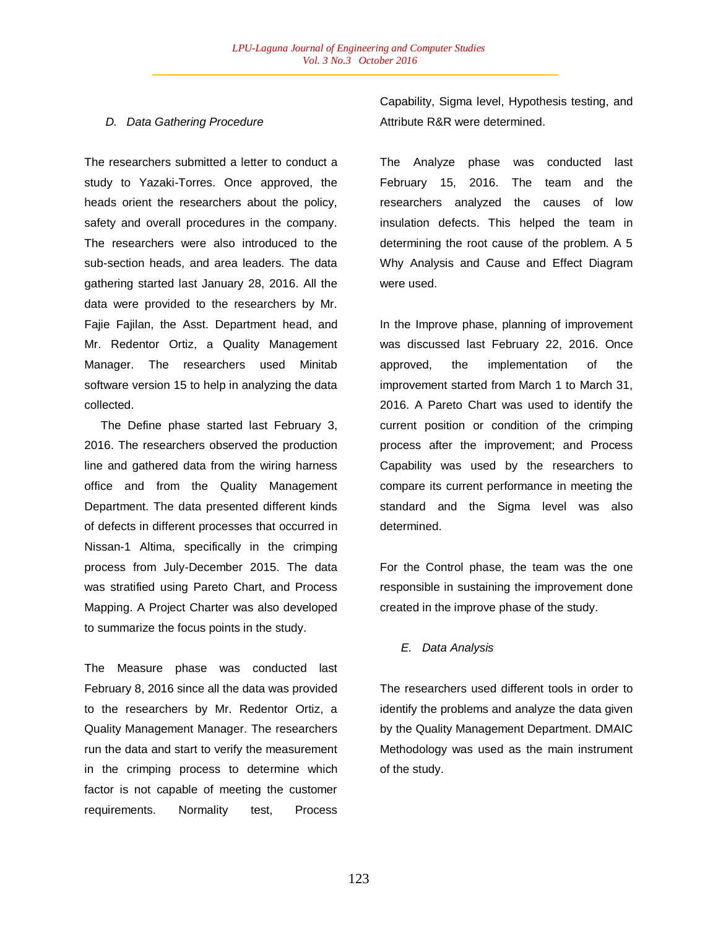## *D. Data Gathering Procedure*

The researchers submitted a letter to conduct a study to Yazaki-Torres. Once approved, the heads orient the researchers about the policy, safety and overall procedures in the company. The researchers were also introduced to the sub-section heads, and area leaders. The data gathering started last January 28, 2016. All the data were provided to the researchers by Mr. Fajie Fajilan, the Asst. Department head, and Mr. Redentor Ortiz, a Quality Management Manager. The researchers used Minitab software version 15 to help in analyzing the data collected.

 The Define phase started last February 3, 2016. The researchers observed the production line and gathered data from the wiring harness office and from the Quality Management Department. The data presented different kinds of defects in different processes that occurred in Nissan-1 Altima, specifically in the crimping process from July-December 2015. The data was stratified using Pareto Chart, and Process Mapping. A Project Charter was also developed to summarize the focus points in the study.

The Measure phase was conducted last February 8, 2016 since all the data was provided to the researchers by Mr. Redentor Ortiz, a Quality Management Manager. The researchers run the data and start to verify the measurement in the crimping process to determine which factor is not capable of meeting the customer requirements. Normality test, Process Capability, Sigma level, Hypothesis testing, and Attribute R&R were determined.

The Analyze phase was conducted last February 15, 2016. The team and the researchers analyzed the causes of low insulation defects. This helped the team in determining the root cause of the problem. A 5 Why Analysis and Cause and Effect Diagram were used.

In the Improve phase, planning of improvement was discussed last February 22, 2016. Once approved, the implementation of the improvement started from March 1 to March 31, 2016. A Pareto Chart was used to identify the current position or condition of the crimping process after the improvement; and Process Capability was used by the researchers to compare its current performance in meeting the standard and the Sigma level was also determined.

For the Control phase, the team was the one responsible in sustaining the improvement done created in the improve phase of the study.

## *E. Data Analysis*

The researchers used different tools in order to identify the problems and analyze the data given by the Quality Management Department. DMAIC Methodology was used as the main instrument of the study.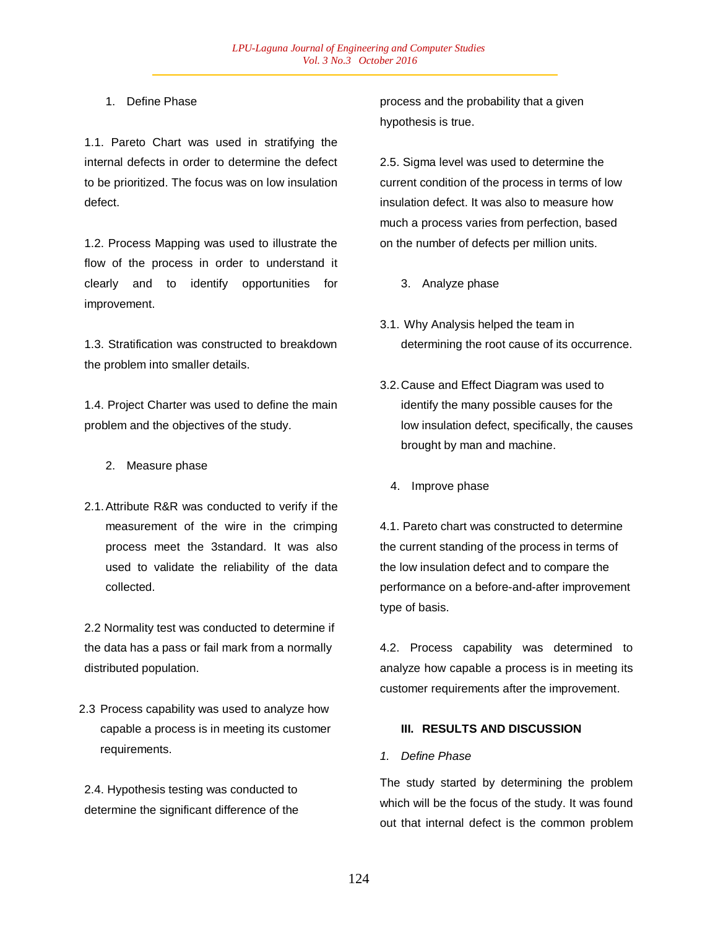## 1. Define Phase

1.1. Pareto Chart was used in stratifying the internal defects in order to determine the defect to be prioritized. The focus was on low insulation defect.

1.2. Process Mapping was used to illustrate the flow of the process in order to understand it clearly and to identify opportunities for improvement.

1.3. Stratification was constructed to breakdown the problem into smaller details.

1.4. Project Charter was used to define the main problem and the objectives of the study.

- 2. Measure phase
- 2.1.Attribute R&R was conducted to verify if the measurement of the wire in the crimping process meet the 3standard. It was also used to validate the reliability of the data collected.

2.2 Normality test was conducted to determine if the data has a pass or fail mark from a normally distributed population.

2.3 Process capability was used to analyze how capable a process is in meeting its customer requirements.

2.4. Hypothesis testing was conducted to determine the significant difference of the process and the probability that a given hypothesis is true.

2.5. Sigma level was used to determine the current condition of the process in terms of low insulation defect. It was also to measure how much a process varies from perfection, based on the number of defects per million units.

- 3. Analyze phase
- 3.1. Why Analysis helped the team in determining the root cause of its occurrence.
- 3.2.Cause and Effect Diagram was used to identify the many possible causes for the low insulation defect, specifically, the causes brought by man and machine.
	- 4. Improve phase

4.1. Pareto chart was constructed to determine the current standing of the process in terms of the low insulation defect and to compare the performance on a before-and-after improvement type of basis.

4.2. Process capability was determined to analyze how capable a process is in meeting its customer requirements after the improvement.

# **III. RESULTS AND DISCUSSION**

## *1. Define Phase*

The study started by determining the problem which will be the focus of the study. It was found out that internal defect is the common problem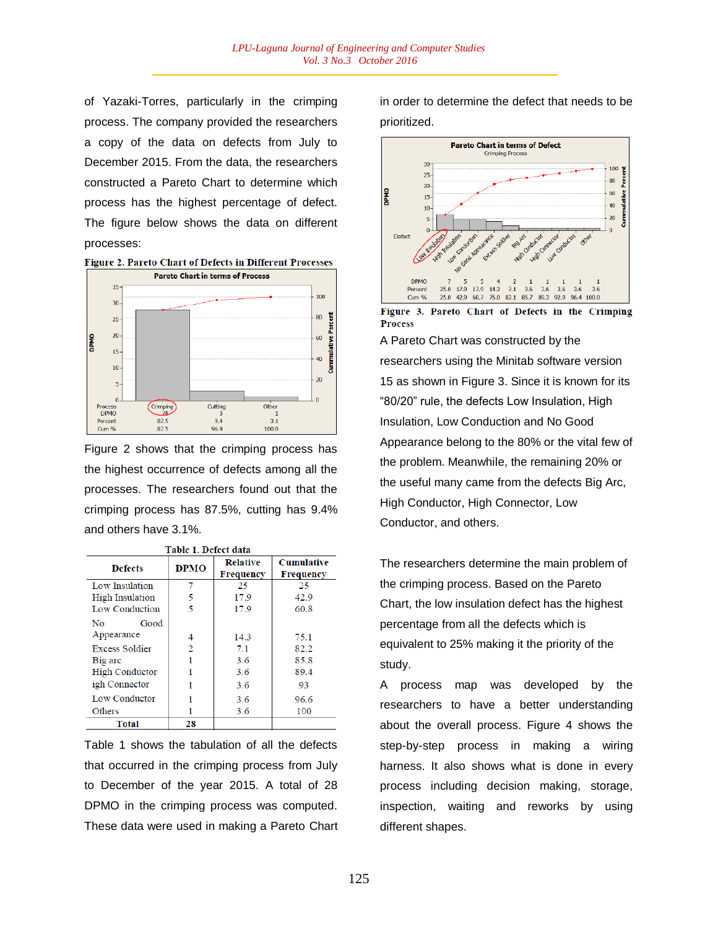of Yazaki-Torres, particularly in the crimping process. The company provided the researchers a copy of the data on defects from July to December 2015. From the data, the researchers constructed a Pareto Chart to determine which process has the highest percentage of defect. The figure below shows the data on different processes:





Figure 2 shows that the crimping process has the highest occurrence of defects among all the processes. The researchers found out that the crimping process has 87.5%, cutting has 9.4% and others have 3.1%.

Table 1 Defect data

|                       | тари т. рекее иаш |                              |                                |
|-----------------------|-------------------|------------------------------|--------------------------------|
| <b>Defects</b>        | <b>DPMO</b>       | <b>Relative</b><br>Frequency | <b>Cumulative</b><br>Frequency |
| Low Insulation        |                   | 25                           | 25                             |
| High Insulation       | 5                 | 17.9                         | 42.9                           |
| Low Conduction        | 5                 | 17.9                         | 60.8                           |
| Good<br>No            |                   |                              |                                |
| Appearance            | 4                 | 14.3                         | 75.1                           |
| <b>Excess Soldier</b> | 2                 | 7.1                          | 82.2                           |
| Big arc               |                   | 3.6                          | 85.8                           |
| <b>High Conductor</b> |                   | 3.6                          | 89.4                           |
| igh Connector         |                   | 3.6                          | 93                             |
| Low Conductor         |                   | 3.6                          | 96.6                           |
| Others                |                   | 3.6                          | 100                            |
| <b>Total</b>          | 28                |                              |                                |

Table 1 shows the tabulation of all the defects that occurred in the crimping process from July to December of the year 2015. A total of 28 DPMO in the crimping process was computed. These data were used in making a Pareto Chart in order to determine the defect that needs to be prioritized.



Figure 3. Pareto Chart of Defects in the Crimping **Process** 

A Pareto Chart was constructed by the researchers using the Minitab software version 15 as shown in Figure 3. Since it is known for its "80/20" rule, the defects Low Insulation, High Insulation, Low Conduction and No Good Appearance belong to the 80% or the vital few of the problem. Meanwhile, the remaining 20% or the useful many came from the defects Big Arc, High Conductor, High Connector, Low Conductor, and others.

The researchers determine the main problem of the crimping process. Based on the Pareto Chart, the low insulation defect has the highest percentage from all the defects which is equivalent to 25% making it the priority of the study.

A process map was developed by the researchers to have a better understanding about the overall process. Figure 4 shows the step-by-step process in making a wiring harness. It also shows what is done in every process including decision making, storage, inspection, waiting and reworks by using different shapes.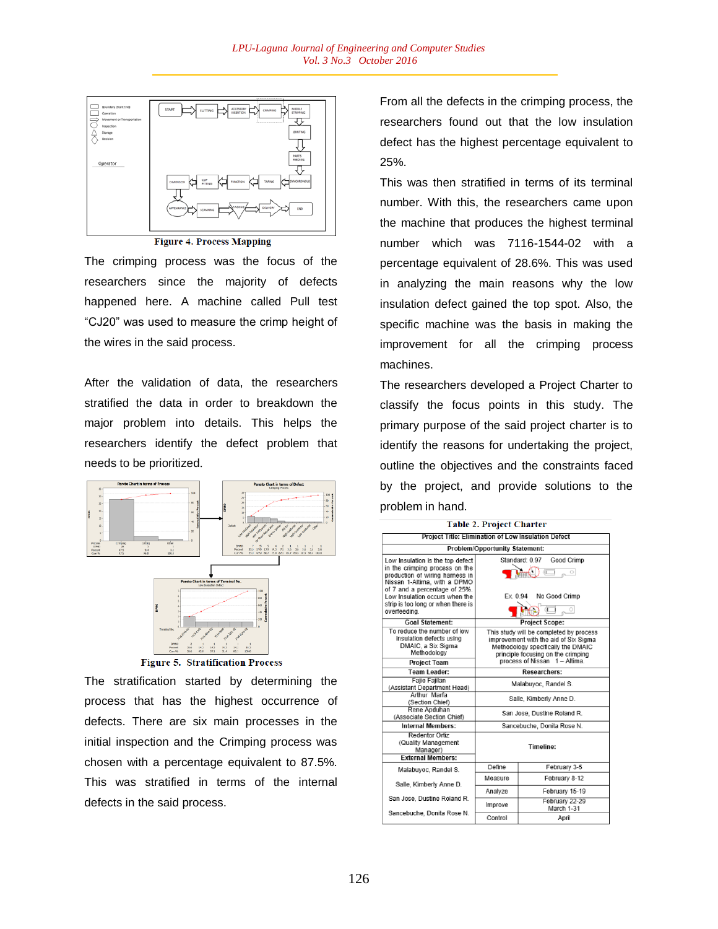

**Figure 4. Process Mapping** 

The crimping process was the focus of the researchers since the majority of defects happened here. A machine called Pull test "CJ20" was used to measure the crimp height of the wires in the said process.

After the validation of data, the researchers stratified the data in order to breakdown the major problem into details. This helps the researchers identify the defect problem that needs to be prioritized.



**Figure 5. Stratification Process** 

The stratification started by determining the process that has the highest occurrence of defects. There are six main processes in the initial inspection and the Crimping process was chosen with a percentage equivalent to 87.5%. This was stratified in terms of the internal defects in the said process.

From all the defects in the crimping process, the researchers found out that the low insulation defect has the highest percentage equivalent to 25%.

This was then stratified in terms of its terminal number. With this, the researchers came upon the machine that produces the highest terminal number which was 7116-1544-02 with a percentage equivalent of 28.6%. This was used in analyzing the main reasons why the low insulation defect gained the top spot. Also, the specific machine was the basis in making the improvement for all the crimping process machines.

The researchers developed a Project Charter to classify the focus points in this study. The primary purpose of the said project charter is to identify the reasons for undertaking the project, outline the objectives and the constraints faced by the project, and provide solutions to the problem in hand.

|                                                                                                                                                                                                          | <b>Table 2. Project Charter</b>                                                                                                                              |                              |  |  |
|----------------------------------------------------------------------------------------------------------------------------------------------------------------------------------------------------------|--------------------------------------------------------------------------------------------------------------------------------------------------------------|------------------------------|--|--|
| Project Title: Elimination of Low Insulation Defect                                                                                                                                                      |                                                                                                                                                              |                              |  |  |
|                                                                                                                                                                                                          | <b>Problem/Opportunity Statement:</b>                                                                                                                        |                              |  |  |
| Low Insulation is the top defect<br>in the crimping process on the<br>production of wiring harness in<br>Nissan 1-Altima, with a DPMO<br>of 7 and a percentage of 25%.<br>Low Insulation occurs when the | Standard: 0.97<br>Good Crimp<br>〕正<br>$\sim$ $\circ$<br>No Good Crimp<br>Ex. 0.94                                                                            |                              |  |  |
| strip is too long or when there is<br>overfeeding.                                                                                                                                                       |                                                                                                                                                              | Œ<br>$\circ$                 |  |  |
| <b>Goal Statement:</b>                                                                                                                                                                                   |                                                                                                                                                              | <b>Project Scope:</b>        |  |  |
| To reduce the number of low<br>insulation defects using<br>DMAIC, a Six Sigma<br>Methodology                                                                                                             | This study will be completed by process<br>improvement with the aid of Six Sigma<br>Methodology specifically the DMAIC<br>principle focusing on the crimping |                              |  |  |
| <b>Project Team</b>                                                                                                                                                                                      | process of Nissan 1 - Altima.                                                                                                                                |                              |  |  |
| <b>Team Leader:</b>                                                                                                                                                                                      | <b>Researchers:</b>                                                                                                                                          |                              |  |  |
| <b>Faile Faillan</b><br>(Assistant Department Head)                                                                                                                                                      | Malabuyoc, Randel S.                                                                                                                                         |                              |  |  |
| Arthur Marfa<br>(Section Chief)                                                                                                                                                                          | Salle, Kimberly Anne D.                                                                                                                                      |                              |  |  |
| Rene Apduhan<br>(Associate Section Chief)                                                                                                                                                                |                                                                                                                                                              | San Jose, Dustine Roland R.  |  |  |
| Internal Members:                                                                                                                                                                                        |                                                                                                                                                              | Sancebuche, Donita Rose N.   |  |  |
| <b>Redentor Ortiz</b><br>(Quality Management<br>Manager)<br><b>External Members:</b>                                                                                                                     | Timeline:                                                                                                                                                    |                              |  |  |
|                                                                                                                                                                                                          | Define                                                                                                                                                       | February 3-5                 |  |  |
| Malabuvoc. Randel S.                                                                                                                                                                                     | Measure                                                                                                                                                      | February 8-12                |  |  |
| Salle, Kimberly Anne D.                                                                                                                                                                                  | Analyze                                                                                                                                                      | February 15-19               |  |  |
| San Jose, Dustine Roland R.                                                                                                                                                                              | Improve                                                                                                                                                      | February 22-29<br>March 1-31 |  |  |
| Sancebuche, Donita Rose N.                                                                                                                                                                               | Control                                                                                                                                                      | April                        |  |  |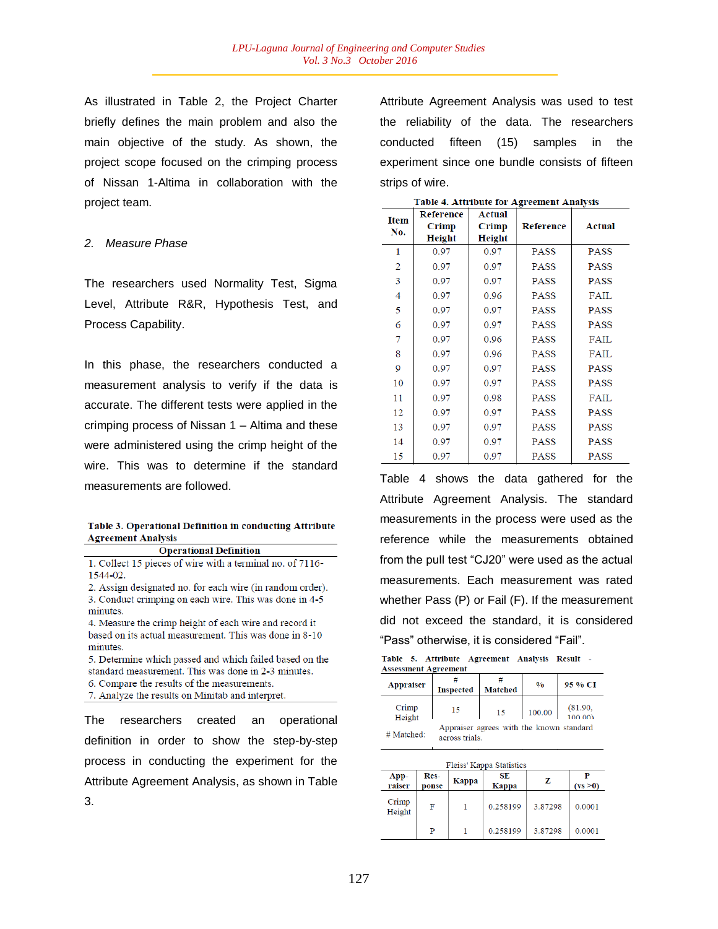As illustrated in Table 2, the Project Charter briefly defines the main problem and also the main objective of the study. As shown, the project scope focused on the crimping process of Nissan 1-Altima in collaboration with the project team.

#### *2. Measure Phase*

The researchers used Normality Test, Sigma Level, Attribute R&R, Hypothesis Test, and Process Capability.

In this phase, the researchers conducted a measurement analysis to verify if the data is accurate. The different tests were applied in the crimping process of Nissan 1 – Altima and these were administered using the crimp height of the wire. This was to determine if the standard measurements are followed.

#### Table 3. Operational Definition in conducting Attribute **Agreement Analysis**

**Operational Definition** 

1. Collect 15 pieces of wire with a terminal no. of 7116-1544-02.

2. Assign designated no. for each wire (in random order). 3. Conduct crimping on each wire. This was done in 4-5 minutes.

4. Measure the crimp height of each wire and record it based on its actual measurement. This was done in 8-10 minutes.

5. Determine which passed and which failed based on the standard measurement. This was done in 2-3 minutes. 6. Compare the results of the measurements.

7. Analyze the results on Minitab and interpret.

The researchers created an operational definition in order to show the step-by-step process in conducting the experiment for the Attribute Agreement Analysis, as shown in Table 3.

Attribute Agreement Analysis was used to test the reliability of the data. The researchers conducted fifteen (15) samples in the experiment since one bundle consists of fifteen strips of wire.

|             |               |               | таріс 4. Апітриге юг Аргеешені Апатуму |             |
|-------------|---------------|---------------|----------------------------------------|-------------|
| <b>Item</b> | Reference     | Actual        |                                        |             |
| No.         | Crimp         | Crimp         | Reference                              | Actual      |
|             | <b>Height</b> | <b>Height</b> |                                        |             |
| 1           | 0.97          | 0.97          | PASS                                   | <b>PASS</b> |
| 2           | 0.97          | 0.97          | PASS                                   | PASS        |
| 3           | 0.97          | 0.97          | <b>PASS</b>                            | PASS        |
| 4           | 0.97          | 0.96          | <b>PASS</b>                            | FAIL        |
| 5           | 0.97          | 0.97          | <b>PASS</b>                            | <b>PASS</b> |
| 6           | 0.97          | 0.97          | <b>PASS</b>                            | <b>PASS</b> |
| 7           | 0.97          | 0.96          | <b>PASS</b>                            | FAIL        |
| 8           | 0.97          | 0.96          | PASS                                   | FAIL        |
| 9           | 0.97          | 0.97          | <b>PASS</b>                            | <b>PASS</b> |
| 10          | 0.97          | 0.97          | <b>PASS</b>                            | <b>PASS</b> |
| 11          | 0.97          | 0.98          | <b>PASS</b>                            | FAIL        |
| 12          | 0.97          | 0.97          | <b>PASS</b>                            | <b>PASS</b> |
| 13          | 0.97          | 0.97          | <b>PASS</b>                            | <b>PASS</b> |
| 14          | 0.97          | 0.97          | <b>PASS</b>                            | <b>PASS</b> |
| 15          | 0.97          | 0.97          | <b>PASS</b>                            | PASS        |

Table 4 Attribute for Agreement Analysis

Table 4 shows the data gathered for the Attribute Agreement Analysis. The standard measurements in the process were used as the reference while the measurements obtained from the pull test "CJ20" were used as the actual measurements. Each measurement was rated whether Pass (P) or Fail (F). If the measurement did not exceed the standard, it is considered "Pass" otherwise, it is considered "Fail".

|  |                             | Table 5. Attribute Agreement Analysis Result |  |  |
|--|-----------------------------|----------------------------------------------|--|--|
|  | <b>Assessment Agreement</b> |                                              |  |  |

| <b>Appraiser</b> | <b>Inspected</b> | <b>Matched</b>                           | $\frac{0}{0}$ | 95 % CI            |
|------------------|------------------|------------------------------------------|---------------|--------------------|
| Crimp<br>Height  | 15               | 15                                       | 100.00        | (81.90,<br>100.001 |
| # Matched:       | across trials.   | Appraiser agrees with the known standard |               |                    |

|                 | Fleiss' Kappa Statistics |       |                    |         |               |  |
|-----------------|--------------------------|-------|--------------------|---------|---------------|--|
| App-<br>raiser  | Res-<br>ponse            | Kappa | SE<br><b>Kappa</b> | z       | D<br>(vs > 0) |  |
| Crimp<br>Height | F                        |       | 0.258199           | 3.87298 | 0.0001        |  |
|                 | P                        |       | 0.258199           | 3.87298 | 0.0001        |  |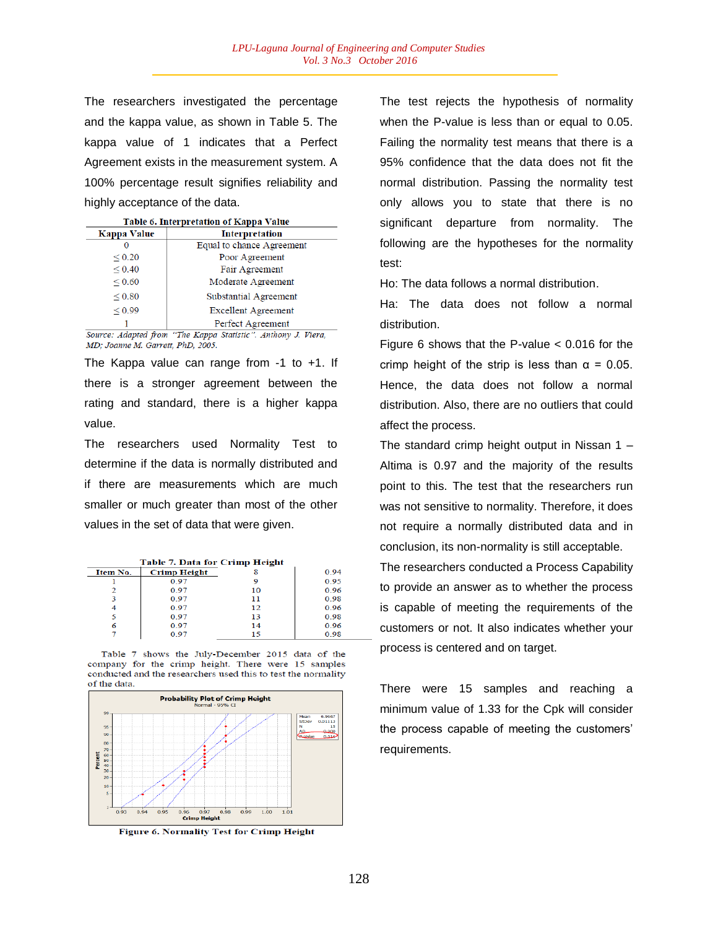The researchers investigated the percentage and the kappa value, as shown in Table 5. The kappa value of 1 indicates that a Perfect Agreement exists in the measurement system. A 100% percentage result signifies reliability and highly acceptance of the data.

|  | Table 6. Interpretation of Kappa Value |  |
|--|----------------------------------------|--|
|  |                                        |  |

| Kappa Value | Interpretation             |
|-------------|----------------------------|
|             | Equal to chance Agreement  |
| ${}_{0.20}$ | Poor Agreement             |
| ${}_{0.40}$ | Fair Agreement             |
| ${}_{0.60}$ | Moderate Agreement         |
| ${}_{0.80}$ | Substantial Agreement      |
| ${}_{0.99}$ | <b>Excellent Agreement</b> |
|             | Perfect Agreement          |

Source: Adapted from "The Kappa Statistic". Anthony J. Viera, MD; Joanne M. Garrett, PhD, 2005.

The Kappa value can range from -1 to +1. If there is a stronger agreement between the rating and standard, there is a higher kappa value.

The researchers used Normality Test to determine if the data is normally distributed and if there are measurements which are much smaller or much greater than most of the other values in the set of data that were given.

|          | <b>Table 7. Data for Crimp Height</b> |    |      |  |  |
|----------|---------------------------------------|----|------|--|--|
| Item No. | <b>Crimp Height</b>                   |    | 0.94 |  |  |
|          | 0.97                                  | 9  | 0 95 |  |  |
|          | 0.97                                  | 10 | 0.96 |  |  |
|          | 0.97                                  | 11 | 0.98 |  |  |
|          | 0.97                                  | 12 | 0.96 |  |  |
|          | 0.97                                  | 13 | 0.98 |  |  |
| 6        | 0.97                                  | 14 | 0.96 |  |  |
|          | 0.97                                  | 15 | 0.98 |  |  |

Table 7 shows the July-December 2015 data of the company for the crimp height. There were 15 samples conducted and the researchers used this to test the normality of the data.



Figure 6. Normality Test for Crimp Height

The test rejects the hypothesis of normality when the P-value is less than or equal to 0.05. Failing the normality test means that there is a 95% confidence that the data does not fit the normal distribution. Passing the normality test only allows you to state that there is no significant departure from normality. The following are the hypotheses for the normality test:

Ho: The data follows a normal distribution.

Ha: The data does not follow a normal distribution.

Figure 6 shows that the P-value < 0.016 for the crimp height of the strip is less than  $α = 0.05$ . Hence, the data does not follow a normal distribution. Also, there are no outliers that could affect the process.

The standard crimp height output in Nissan 1 – Altima is 0.97 and the majority of the results point to this. The test that the researchers run was not sensitive to normality. Therefore, it does not require a normally distributed data and in conclusion, its non-normality is still acceptable.

The researchers conducted a Process Capability to provide an answer as to whether the process is capable of meeting the requirements of the customers or not. It also indicates whether your process is centered and on target.

There were 15 samples and reaching a minimum value of 1.33 for the Cpk will consider the process capable of meeting the customers' requirements.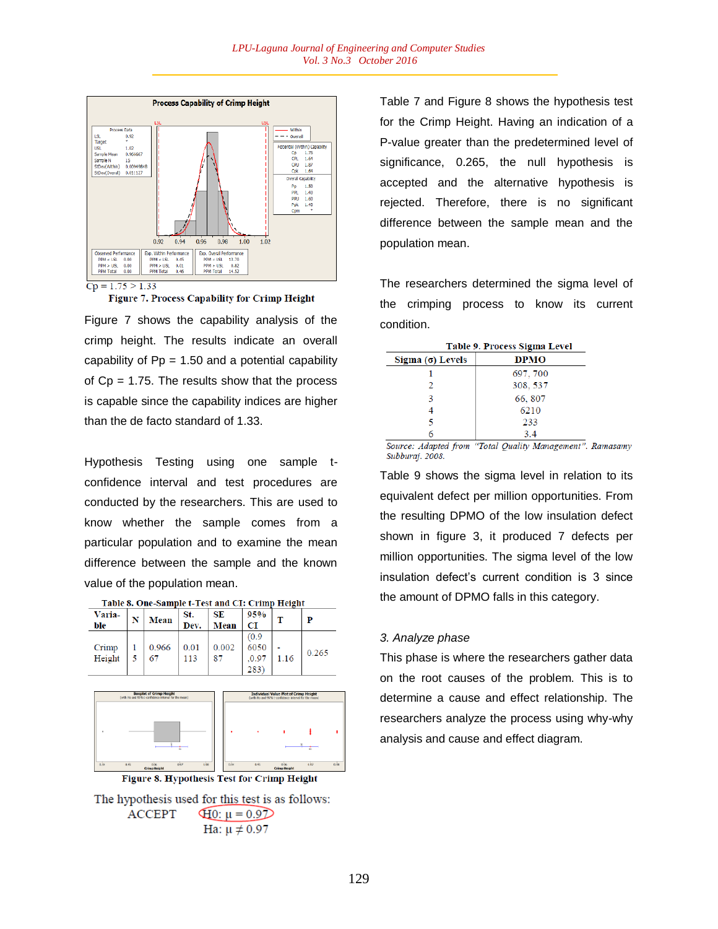



Figure 7 shows the capability analysis of the crimp height. The results indicate an overall capability of  $Pp = 1.50$  and a potential capability of  $Cp = 1.75$ . The results show that the process is capable since the capability indices are higher than the de facto standard of 1.33.

Hypothesis Testing using one sample tconfidence interval and test procedures are conducted by the researchers. This are used to know whether the sample comes from a particular population and to examine the mean difference between the sample and the known value of the population mean.

|        | Table of One-Sample t-Test and CT. Crimp Height |      |             |       |      |       |
|--------|-------------------------------------------------|------|-------------|-------|------|-------|
| Varia- | <b>Mean</b>                                     | St.  | SE          | 95%   |      | P     |
| ble    |                                                 | Dev. | <b>Mean</b> | CI    |      |       |
|        |                                                 |      |             | (0.9) |      |       |
| Crimp  | 0.966                                           | 0.01 | 0.002       | 6050  |      | 0.265 |
| Height | 67                                              | 113  | 87          | .0.97 | 1.16 |       |
|        |                                                 |      |             | 283   |      |       |





The hypothesis used for this test is as follows: **ACCEPT**  $\overline{40}$ :  $\mu = 0.9$ Ha:  $\mu \neq 0.97$ 

Table 7 and Figure 8 shows the hypothesis test for the Crimp Height. Having an indication of a P-value greater than the predetermined level of significance, 0.265, the null hypothesis is accepted and the alternative hypothesis is rejected. Therefore, there is no significant difference between the sample mean and the population mean.

The researchers determined the sigma level of the crimping process to know its current condition.

| Table 9. Process Sigma Level |             |  |  |  |
|------------------------------|-------------|--|--|--|
| Sigma $(σ)$ Levels           | <b>DPMO</b> |  |  |  |
|                              | 697, 700    |  |  |  |
| $\mathcal{L}$                | 308, 537    |  |  |  |
|                              | 66, 807     |  |  |  |
|                              | 6210        |  |  |  |
|                              | 233         |  |  |  |
|                              | 3.4         |  |  |  |

Source: Adapted from "Total Quality Management". Ramasamy Subburaj. 2008.

Table 9 shows the sigma level in relation to its equivalent defect per million opportunities. From the resulting DPMO of the low insulation defect shown in figure 3, it produced 7 defects per million opportunities. The sigma level of the low insulation defect's current condition is 3 since the amount of DPMO falls in this category.

#### *3. Analyze phase*

This phase is where the researchers gather data on the root causes of the problem. This is to determine a cause and effect relationship. The researchers analyze the process using why-why analysis and cause and effect diagram.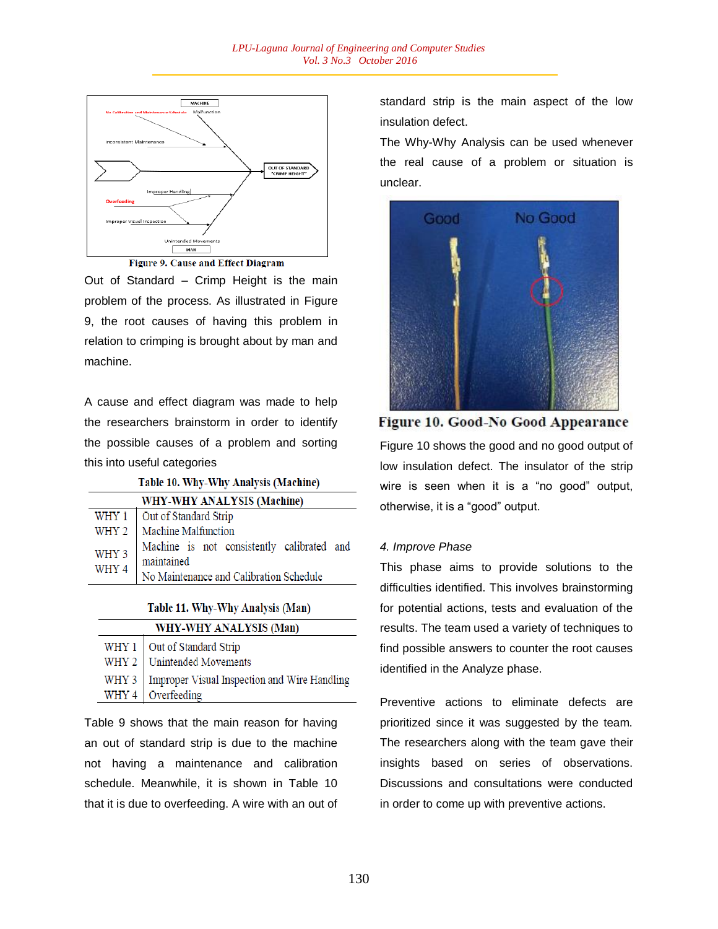

Figure 9. Cause and Effect Diagram

Out of Standard – Crimp Height is the main problem of the process. As illustrated in Figure 9, the root causes of having this problem in relation to crimping is brought about by man and machine.

A cause and effect diagram was made to help the researchers brainstorm in order to identify the possible causes of a problem and sorting this into useful categories

Table 10. Why-Why Analysis (Machine)

| WHY-WHY ANALYSIS (Machine) |                                                                                                     |  |  |  |
|----------------------------|-----------------------------------------------------------------------------------------------------|--|--|--|
|                            | WHY 1   Out of Standard Strip                                                                       |  |  |  |
|                            | WHY 2   Machine Malfunction                                                                         |  |  |  |
| WHY 3<br>WHY 4             | Machine is not consistently calibrated and<br>maintained<br>No Maintenance and Calibration Schedule |  |  |  |

#### Table 11. Why-Why Analysis (Man)

| WHY-WHY ANALYSIS (Man) |                                                      |  |
|------------------------|------------------------------------------------------|--|
|                        | WHY 1 Out of Standard Strip                          |  |
|                        | WHY 2 Unintended Movements                           |  |
|                        | WHY 3   Improper Visual Inspection and Wire Handling |  |
|                        | WHY 4 Overfeeding                                    |  |

Table 9 shows that the main reason for having an out of standard strip is due to the machine not having a maintenance and calibration schedule. Meanwhile, it is shown in Table 10 that it is due to overfeeding. A wire with an out of standard strip is the main aspect of the low insulation defect.

The Why-Why Analysis can be used whenever the real cause of a problem or situation is unclear.



Figure 10. Good-No Good Appearance Figure 10 shows the good and no good output of low insulation defect. The insulator of the strip wire is seen when it is a "no good" output, otherwise, it is a "good" output.

## *4. Improve Phase*

This phase aims to provide solutions to the difficulties identified. This involves brainstorming for potential actions, tests and evaluation of the results. The team used a variety of techniques to find possible answers to counter the root causes identified in the Analyze phase.

Preventive actions to eliminate defects are prioritized since it was suggested by the team. The researchers along with the team gave their insights based on series of observations. Discussions and consultations were conducted in order to come up with preventive actions.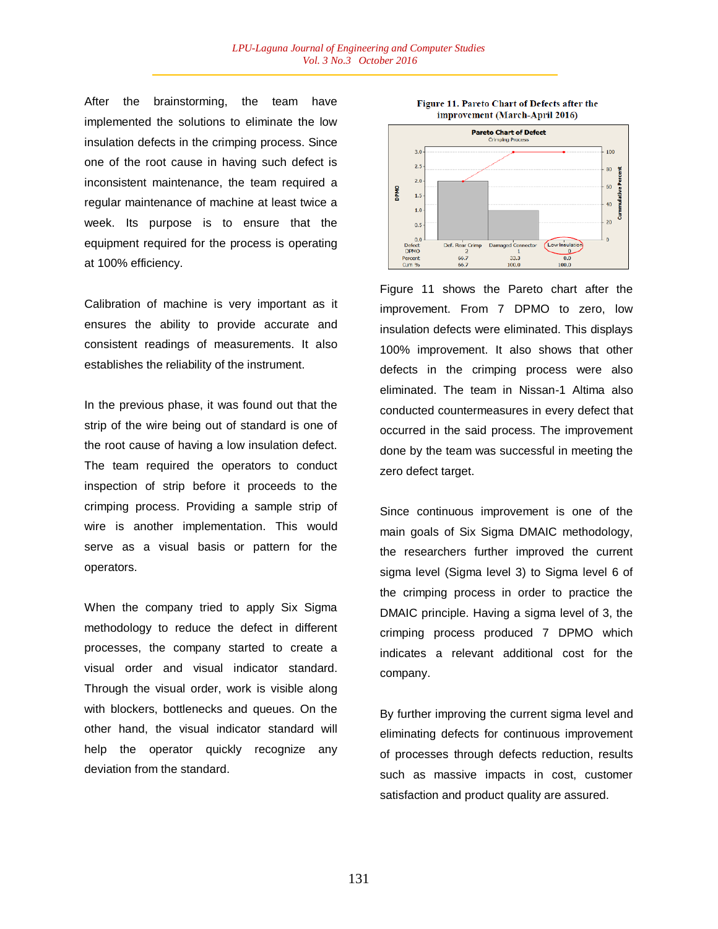After the brainstorming, the team have implemented the solutions to eliminate the low insulation defects in the crimping process. Since one of the root cause in having such defect is inconsistent maintenance, the team required a regular maintenance of machine at least twice a week. Its purpose is to ensure that the equipment required for the process is operating at 100% efficiency.

Calibration of machine is very important as it ensures the ability to provide accurate and consistent readings of measurements. It also establishes the reliability of the instrument.

In the previous phase, it was found out that the strip of the wire being out of standard is one of the root cause of having a low insulation defect. The team required the operators to conduct inspection of strip before it proceeds to the crimping process. Providing a sample strip of wire is another implementation. This would serve as a visual basis or pattern for the operators.

When the company tried to apply Six Sigma methodology to reduce the defect in different processes, the company started to create a visual order and visual indicator standard. Through the visual order, work is visible along with blockers, bottlenecks and queues. On the other hand, the visual indicator standard will help the operator quickly recognize any deviation from the standard.





Figure 11 shows the Pareto chart after the improvement. From 7 DPMO to zero, low insulation defects were eliminated. This displays 100% improvement. It also shows that other defects in the crimping process were also eliminated. The team in Nissan-1 Altima also conducted countermeasures in every defect that occurred in the said process. The improvement done by the team was successful in meeting the zero defect target.

Since continuous improvement is one of the main goals of Six Sigma DMAIC methodology, the researchers further improved the current sigma level (Sigma level 3) to Sigma level 6 of the crimping process in order to practice the DMAIC principle. Having a sigma level of 3, the crimping process produced 7 DPMO which indicates a relevant additional cost for the company.

By further improving the current sigma level and eliminating defects for continuous improvement of processes through defects reduction, results such as massive impacts in cost, customer satisfaction and product quality are assured.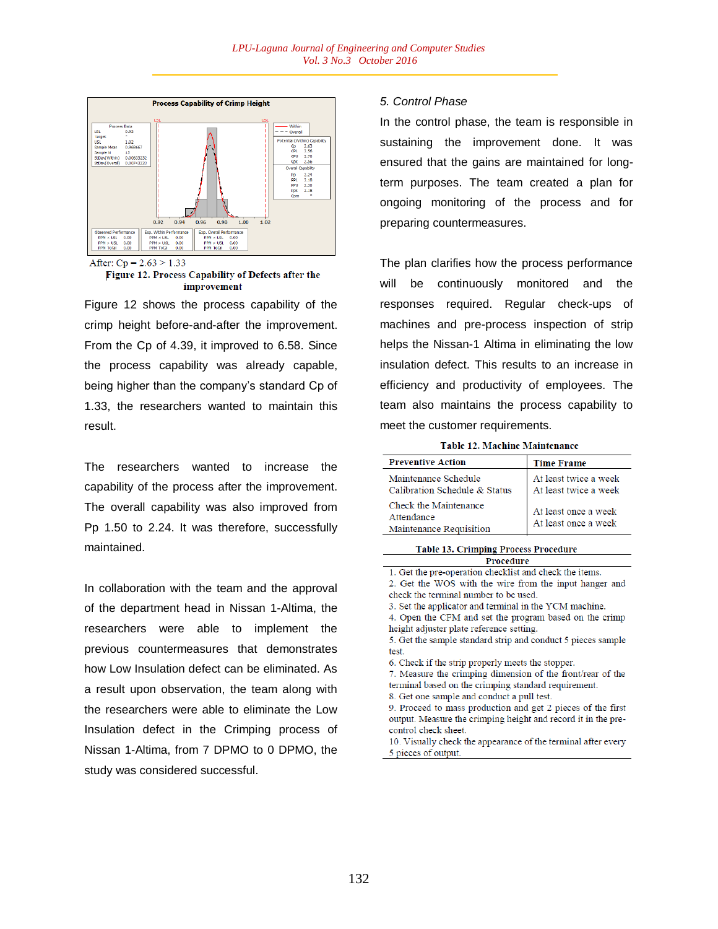

After:  $Cp = 2.63 > 1.33$ 

Figure 12. Process Capability of Defects after the improvement

Figure 12 shows the process capability of the crimp height before-and-after the improvement. From the Cp of 4.39, it improved to 6.58. Since the process capability was already capable, being higher than the company's standard Cp of 1.33, the researchers wanted to maintain this result.

The researchers wanted to increase the capability of the process after the improvement. The overall capability was also improved from Pp 1.50 to 2.24. It was therefore, successfully maintained.

In collaboration with the team and the approval of the department head in Nissan 1-Altima, the researchers were able to implement the previous countermeasures that demonstrates how Low Insulation defect can be eliminated. As a result upon observation, the team along with the researchers were able to eliminate the Low Insulation defect in the Crimping process of Nissan 1-Altima, from 7 DPMO to 0 DPMO, the study was considered successful.

## *5. Control Phase*

In the control phase, the team is responsible in sustaining the improvement done. It was ensured that the gains are maintained for longterm purposes. The team created a plan for ongoing monitoring of the process and for preparing countermeasures.

The plan clarifies how the process performance will be continuously monitored and the responses required. Regular check-ups of machines and pre-process inspection of strip helps the Nissan-1 Altima in eliminating the low insulation defect. This results to an increase in efficiency and productivity of employees. The team also maintains the process capability to meet the customer requirements.

**Table 12. Machine Maintenance** 

| <b>Preventive Action</b>                                       | <b>Time Frame</b>                              |
|----------------------------------------------------------------|------------------------------------------------|
| Maintenance Schedule<br>Calibration Schedule & Status          | At least twice a week<br>At least twice a week |
| Check the Maintenance<br>Attendance<br>Maintenance Requisition | At least once a week<br>At least once a week   |

**Table 13. Crimping Process Procedure** Procedure

1. Get the pre-operation checklist and check the items. 2. Get the WOS with the wire from the input hanger and

check the terminal number to be used.

3. Set the applicator and terminal in the YCM machine.

4. Open the CFM and set the program based on the crimp height adjuster plate reference setting.

5. Get the sample standard strip and conduct 5 pieces sample test.

6. Check if the strip properly meets the stopper.

7. Measure the crimping dimension of the front/rear of the terminal based on the crimping standard requirement.

8. Get one sample and conduct a pull test.

9. Proceed to mass production and get 2 pieces of the first output. Measure the crimping height and record it in the precontrol check sheet.

10. Visually check the appearance of the terminal after every 5 pieces of output.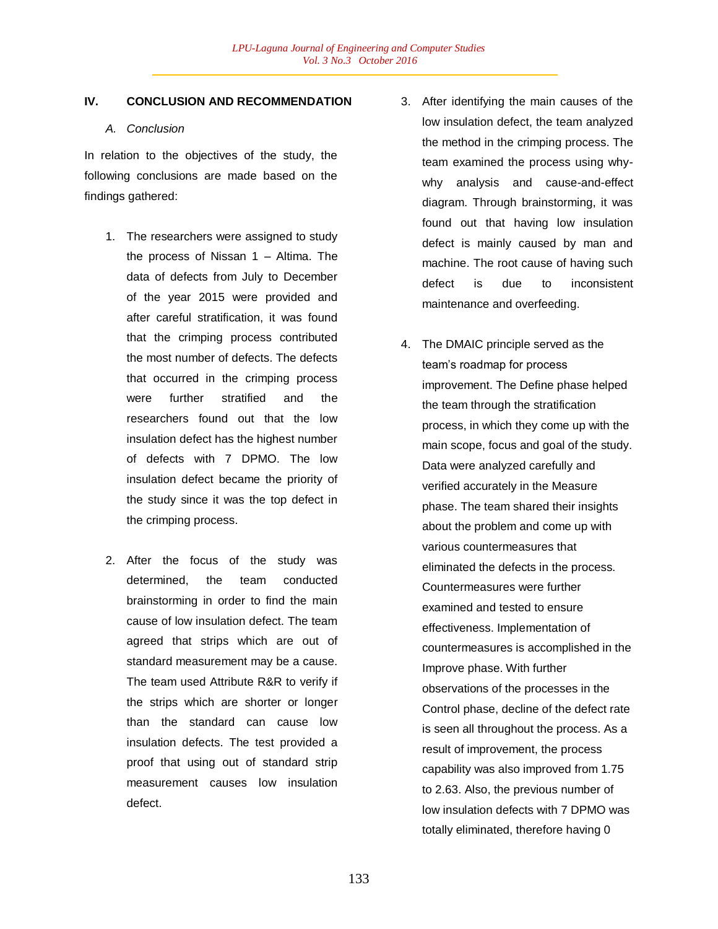## **IV. CONCLUSION AND RECOMMENDATION**

## *A. Conclusion*

In relation to the objectives of the study, the following conclusions are made based on the findings gathered:

- 1. The researchers were assigned to study the process of Nissan 1 – Altima. The data of defects from July to December of the year 2015 were provided and after careful stratification, it was found that the crimping process contributed the most number of defects. The defects that occurred in the crimping process were further stratified and the researchers found out that the low insulation defect has the highest number of defects with 7 DPMO. The low insulation defect became the priority of the study since it was the top defect in the crimping process.
- 2. After the focus of the study was determined, the team conducted brainstorming in order to find the main cause of low insulation defect. The team agreed that strips which are out of standard measurement may be a cause. The team used Attribute R&R to verify if the strips which are shorter or longer than the standard can cause low insulation defects. The test provided a proof that using out of standard strip measurement causes low insulation defect.
- 3. After identifying the main causes of the low insulation defect, the team analyzed the method in the crimping process. The team examined the process using whywhy analysis and cause-and-effect diagram. Through brainstorming, it was found out that having low insulation defect is mainly caused by man and machine. The root cause of having such defect is due to inconsistent maintenance and overfeeding.
- 4. The DMAIC principle served as the team's roadmap for process improvement. The Define phase helped the team through the stratification process, in which they come up with the main scope, focus and goal of the study. Data were analyzed carefully and verified accurately in the Measure phase. The team shared their insights about the problem and come up with various countermeasures that eliminated the defects in the process. Countermeasures were further examined and tested to ensure effectiveness. Implementation of countermeasures is accomplished in the Improve phase. With further observations of the processes in the Control phase, decline of the defect rate is seen all throughout the process. As a result of improvement, the process capability was also improved from 1.75 to 2.63. Also, the previous number of low insulation defects with 7 DPMO was totally eliminated, therefore having 0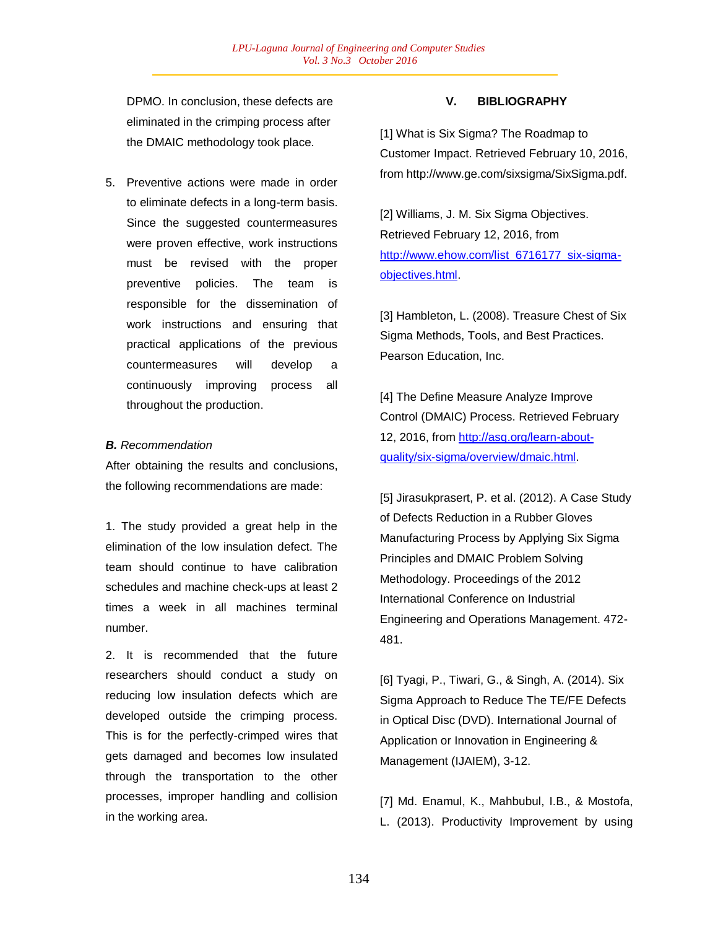DPMO. In conclusion, these defects are eliminated in the crimping process after the DMAIC methodology took place.

5. Preventive actions were made in order to eliminate defects in a long-term basis. Since the suggested countermeasures were proven effective, work instructions must be revised with the proper preventive policies. The team is responsible for the dissemination of work instructions and ensuring that practical applications of the previous countermeasures will develop a continuously improving process all throughout the production.

#### *B. Recommendation*

After obtaining the results and conclusions, the following recommendations are made:

1. The study provided a great help in the elimination of the low insulation defect. The team should continue to have calibration schedules and machine check-ups at least 2 times a week in all machines terminal number.

2. It is recommended that the future researchers should conduct a study on reducing low insulation defects which are developed outside the crimping process. This is for the perfectly-crimped wires that gets damaged and becomes low insulated through the transportation to the other processes, improper handling and collision in the working area.

#### **V. BIBLIOGRAPHY**

[1] What is Six Sigma? The Roadmap to Customer Impact. Retrieved February 10, 2016, from http://www.ge.com/sixsigma/SixSigma.pdf.

[2] Williams, J. M. Six Sigma Objectives. Retrieved February 12, 2016, from http://www.ehow.com/list\_6716177\_six-sigmaobjectives.html.

[3] Hambleton, L. (2008). Treasure Chest of Six Sigma Methods, Tools, and Best Practices. Pearson Education, Inc.

[4] The Define Measure Analyze Improve Control (DMAIC) Process. Retrieved February 12, 2016, from http://asq.org/learn-aboutquality/six-sigma/overview/dmaic.html.

[5] Jirasukprasert, P. et al. (2012). A Case Study of Defects Reduction in a Rubber Gloves Manufacturing Process by Applying Six Sigma Principles and DMAIC Problem Solving Methodology. Proceedings of the 2012 International Conference on Industrial Engineering and Operations Management. 472- 481.

[6] Tyagi, P., Tiwari, G., & Singh, A. (2014). Six Sigma Approach to Reduce The TE/FE Defects in Optical Disc (DVD). International Journal of Application or Innovation in Engineering & Management (IJAIEM), 3-12.

[7] Md. Enamul, K., Mahbubul, I.B., & Mostofa, L. (2013). Productivity Improvement by using